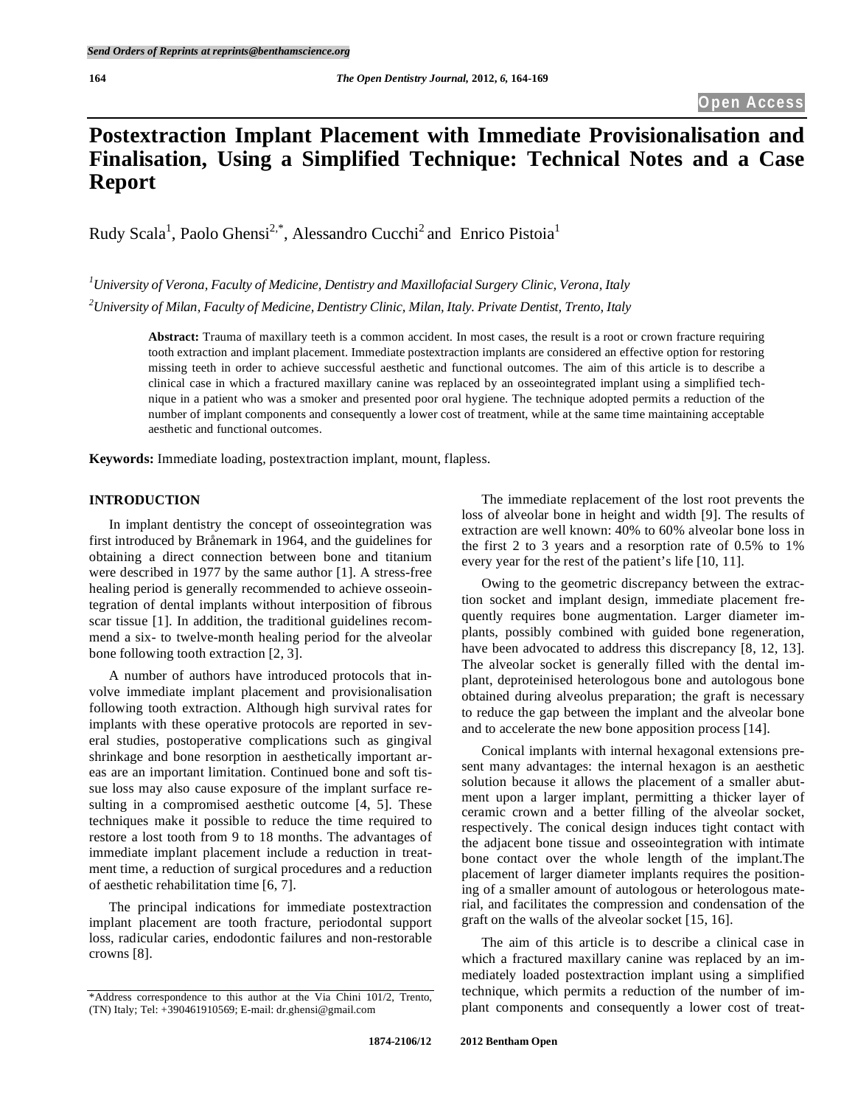# **Postextraction Implant Placement with Immediate Provisionalisation and Finalisation, Using a Simplified Technique: Technical Notes and a Case Report**

Rudy Scala<sup>1</sup>, Paolo Ghensi<sup>2,\*</sup>, Alessandro Cucchi<sup>2</sup> and Enrico Pistoia<sup>1</sup>

*1 University of Verona, Faculty of Medicine, Dentistry and Maxillofacial Surgery Clinic, Verona, Italy 2 University of Milan, Faculty of Medicine, Dentistry Clinic, Milan, Italy. Private Dentist, Trento, Italy*

> **Abstract:** Trauma of maxillary teeth is a common accident. In most cases, the result is a root or crown fracture requiring tooth extraction and implant placement. Immediate postextraction implants are considered an effective option for restoring missing teeth in order to achieve successful aesthetic and functional outcomes. The aim of this article is to describe a clinical case in which a fractured maxillary canine was replaced by an osseointegrated implant using a simplified technique in a patient who was a smoker and presented poor oral hygiene. The technique adopted permits a reduction of the number of implant components and consequently a lower cost of treatment, while at the same time maintaining acceptable aesthetic and functional outcomes.

**Keywords:** Immediate loading, postextraction implant, mount, flapless.

# **INTRODUCTION**

In implant dentistry the concept of osseointegration was first introduced by Brånemark in 1964, and the guidelines for obtaining a direct connection between bone and titanium were described in 1977 by the same author [1]. A stress-free healing period is generally recommended to achieve osseointegration of dental implants without interposition of fibrous scar tissue [1]. In addition, the traditional guidelines recommend a six- to twelve-month healing period for the alveolar bone following tooth extraction [2, 3].

A number of authors have introduced protocols that involve immediate implant placement and provisionalisation following tooth extraction. Although high survival rates for implants with these operative protocols are reported in several studies, postoperative complications such as gingival shrinkage and bone resorption in aesthetically important areas are an important limitation. Continued bone and soft tissue loss may also cause exposure of the implant surface resulting in a compromised aesthetic outcome [4, 5]. These techniques make it possible to reduce the time required to restore a lost tooth from 9 to 18 months. The advantages of immediate implant placement include a reduction in treatment time, a reduction of surgical procedures and a reduction of aesthetic rehabilitation time [6, 7].

The principal indications for immediate postextraction implant placement are tooth fracture, periodontal support loss, radicular caries, endodontic failures and non-restorable crowns [8].

The immediate replacement of the lost root prevents the loss of alveolar bone in height and width [9]. The results of extraction are well known: 40% to 60% alveolar bone loss in the first 2 to 3 years and a resorption rate of 0.5% to 1% every year for the rest of the patient's life [10, 11].

Owing to the geometric discrepancy between the extraction socket and implant design, immediate placement frequently requires bone augmentation. Larger diameter implants, possibly combined with guided bone regeneration, have been advocated to address this discrepancy [8, 12, 13]. The alveolar socket is generally filled with the dental implant, deproteinised heterologous bone and autologous bone obtained during alveolus preparation; the graft is necessary to reduce the gap between the implant and the alveolar bone and to accelerate the new bone apposition process [14].

Conical implants with internal hexagonal extensions present many advantages: the internal hexagon is an aesthetic solution because it allows the placement of a smaller abutment upon a larger implant, permitting a thicker layer of ceramic crown and a better filling of the alveolar socket, respectively. The conical design induces tight contact with the adjacent bone tissue and osseointegration with intimate bone contact over the whole length of the implant.The placement of larger diameter implants requires the positioning of a smaller amount of autologous or heterologous material, and facilitates the compression and condensation of the graft on the walls of the alveolar socket [15, 16].

The aim of this article is to describe a clinical case in which a fractured maxillary canine was replaced by an immediately loaded postextraction implant using a simplified technique, which permits a reduction of the number of implant components and consequently a lower cost of treat-

<sup>\*</sup>Address correspondence to this author at the Via Chini 101/2, Trento, (TN) Italy; Tel: +390461910569; E-mail: dr.ghensi@gmail.com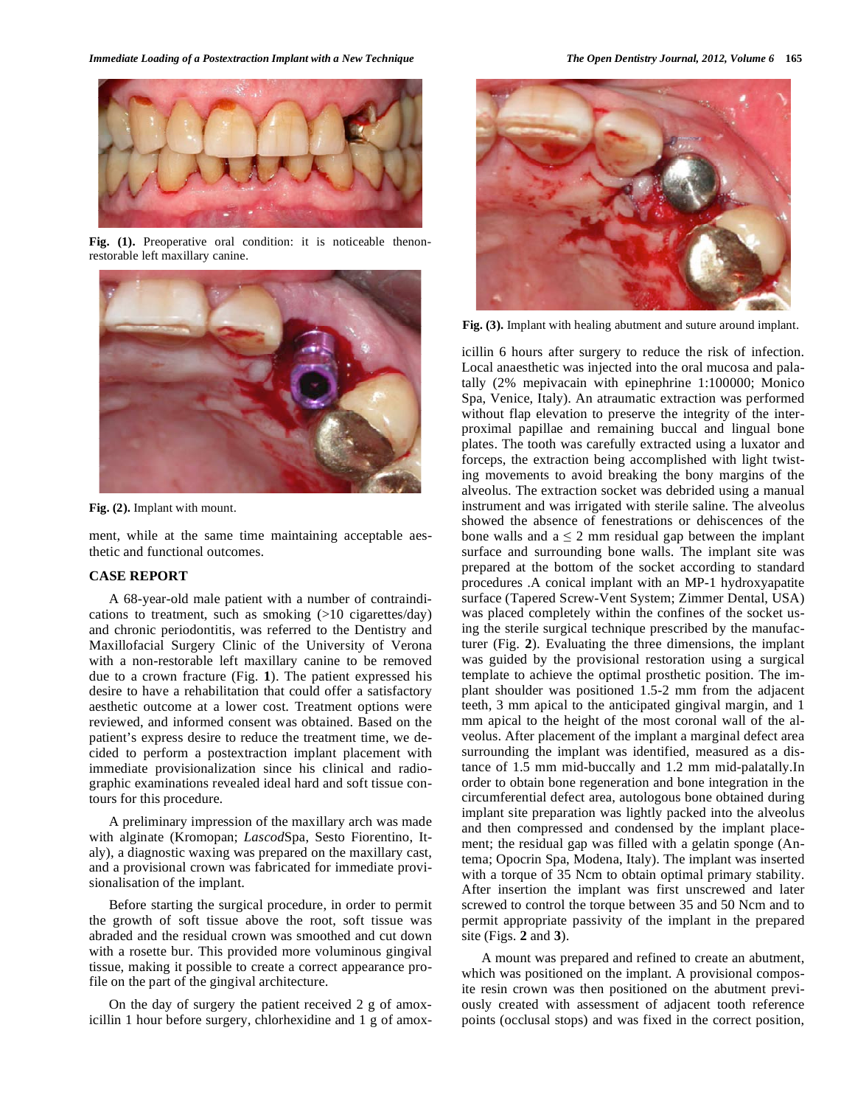*Immediate Loading of a Postextraction Implant with a New Technique The Open Dentistry Journal, 2012, Volume 6* **165**



**Fig. (1).** Preoperative oral condition: it is noticeable thenonrestorable left maxillary canine.



**Fig. (2).** Implant with mount.

ment, while at the same time maintaining acceptable aesthetic and functional outcomes.

# **CASE REPORT**

A 68-year-old male patient with a number of contraindications to treatment, such as smoking (>10 cigarettes/day) and chronic periodontitis, was referred to the Dentistry and Maxillofacial Surgery Clinic of the University of Verona with a non-restorable left maxillary canine to be removed due to a crown fracture (Fig. **1**). The patient expressed his desire to have a rehabilitation that could offer a satisfactory aesthetic outcome at a lower cost. Treatment options were reviewed, and informed consent was obtained. Based on the patient's express desire to reduce the treatment time, we decided to perform a postextraction implant placement with immediate provisionalization since his clinical and radiographic examinations revealed ideal hard and soft tissue contours for this procedure.

A preliminary impression of the maxillary arch was made with alginate (Kromopan; *Lascod*Spa, Sesto Fiorentino, Italy), a diagnostic waxing was prepared on the maxillary cast, and a provisional crown was fabricated for immediate provisionalisation of the implant.

Before starting the surgical procedure, in order to permit the growth of soft tissue above the root, soft tissue was abraded and the residual crown was smoothed and cut down with a rosette bur. This provided more voluminous gingival tissue, making it possible to create a correct appearance profile on the part of the gingival architecture.

On the day of surgery the patient received 2 g of amoxicillin 1 hour before surgery, chlorhexidine and 1 g of amox-



**Fig. (3).** Implant with healing abutment and suture around implant.

icillin 6 hours after surgery to reduce the risk of infection. Local anaesthetic was injected into the oral mucosa and palatally (2% mepivacain with epinephrine 1:100000; Monico Spa, Venice, Italy). An atraumatic extraction was performed without flap elevation to preserve the integrity of the interproximal papillae and remaining buccal and lingual bone plates. The tooth was carefully extracted using a luxator and forceps, the extraction being accomplished with light twisting movements to avoid breaking the bony margins of the alveolus. The extraction socket was debrided using a manual instrument and was irrigated with sterile saline. The alveolus showed the absence of fenestrations or dehiscences of the bone walls and  $a \leq 2$  mm residual gap between the implant surface and surrounding bone walls. The implant site was prepared at the bottom of the socket according to standard procedures .A conical implant with an MP-1 hydroxyapatite surface (Tapered Screw-Vent System; Zimmer Dental, USA) was placed completely within the confines of the socket using the sterile surgical technique prescribed by the manufacturer (Fig. **2**). Evaluating the three dimensions, the implant was guided by the provisional restoration using a surgical template to achieve the optimal prosthetic position. The implant shoulder was positioned 1.5-2 mm from the adjacent teeth, 3 mm apical to the anticipated gingival margin, and 1 mm apical to the height of the most coronal wall of the alveolus. After placement of the implant a marginal defect area surrounding the implant was identified, measured as a distance of 1.5 mm mid-buccally and 1.2 mm mid-palatally.In order to obtain bone regeneration and bone integration in the circumferential defect area, autologous bone obtained during implant site preparation was lightly packed into the alveolus and then compressed and condensed by the implant placement; the residual gap was filled with a gelatin sponge (Antema; Opocrin Spa, Modena, Italy). The implant was inserted with a torque of 35 Ncm to obtain optimal primary stability. After insertion the implant was first unscrewed and later screwed to control the torque between 35 and 50 Ncm and to permit appropriate passivity of the implant in the prepared site (Figs. **2** and **3**).

A mount was prepared and refined to create an abutment, which was positioned on the implant. A provisional composite resin crown was then positioned on the abutment previously created with assessment of adjacent tooth reference points (occlusal stops) and was fixed in the correct position,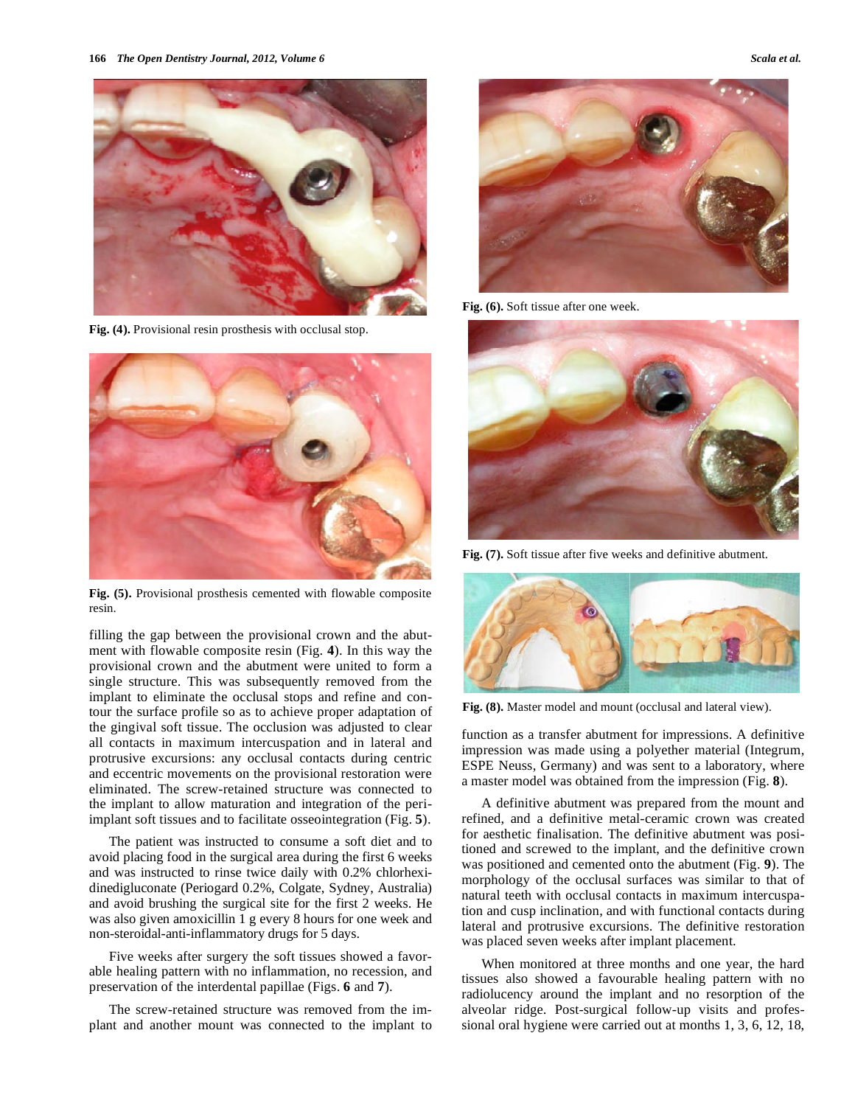

**Fig. (4).** Provisional resin prosthesis with occlusal stop.



**Fig. (5).** Provisional prosthesis cemented with flowable composite resin.

filling the gap between the provisional crown and the abutment with flowable composite resin (Fig. **4**). In this way the provisional crown and the abutment were united to form a single structure. This was subsequently removed from the implant to eliminate the occlusal stops and refine and contour the surface profile so as to achieve proper adaptation of the gingival soft tissue. The occlusion was adjusted to clear all contacts in maximum intercuspation and in lateral and protrusive excursions: any occlusal contacts during centric and eccentric movements on the provisional restoration were eliminated. The screw-retained structure was connected to the implant to allow maturation and integration of the periimplant soft tissues and to facilitate osseointegration (Fig. **5**).

The patient was instructed to consume a soft diet and to avoid placing food in the surgical area during the first 6 weeks and was instructed to rinse twice daily with 0.2% chlorhexidinedigluconate (Periogard 0.2%, Colgate, Sydney, Australia) and avoid brushing the surgical site for the first 2 weeks. He was also given amoxicillin 1 g every 8 hours for one week and non-steroidal-anti-inflammatory drugs for 5 days.

Five weeks after surgery the soft tissues showed a favorable healing pattern with no inflammation, no recession, and preservation of the interdental papillae (Figs. **6** and **7**).

The screw-retained structure was removed from the implant and another mount was connected to the implant to



Fig. (6). Soft tissue after one week.



**Fig. (7).** Soft tissue after five weeks and definitive abutment.



**Fig. (8).** Master model and mount (occlusal and lateral view).

function as a transfer abutment for impressions. A definitive impression was made using a polyether material (Integrum, ESPE Neuss, Germany) and was sent to a laboratory, where a master model was obtained from the impression (Fig. **8**).

A definitive abutment was prepared from the mount and refined, and a definitive metal-ceramic crown was created for aesthetic finalisation. The definitive abutment was positioned and screwed to the implant, and the definitive crown was positioned and cemented onto the abutment (Fig. **9**). The morphology of the occlusal surfaces was similar to that of natural teeth with occlusal contacts in maximum intercuspation and cusp inclination, and with functional contacts during lateral and protrusive excursions. The definitive restoration was placed seven weeks after implant placement.

When monitored at three months and one year, the hard tissues also showed a favourable healing pattern with no radiolucency around the implant and no resorption of the alveolar ridge. Post-surgical follow-up visits and professional oral hygiene were carried out at months 1, 3, 6, 12, 18,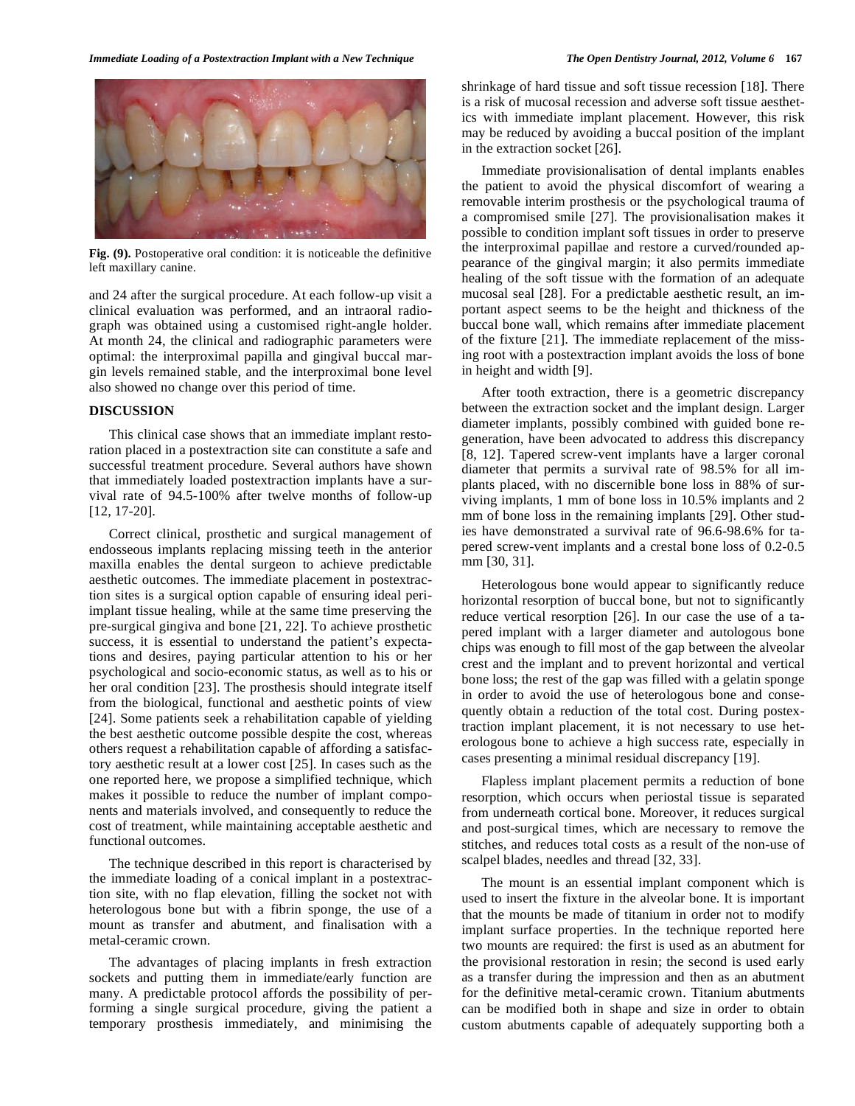

**Fig. (9).** Postoperative oral condition: it is noticeable the definitive left maxillary canine.

and 24 after the surgical procedure. At each follow-up visit a clinical evaluation was performed, and an intraoral radiograph was obtained using a customised right-angle holder. At month 24, the clinical and radiographic parameters were optimal: the interproximal papilla and gingival buccal margin levels remained stable, and the interproximal bone level also showed no change over this period of time.

#### **DISCUSSION**

This clinical case shows that an immediate implant restoration placed in a postextraction site can constitute a safe and successful treatment procedure. Several authors have shown that immediately loaded postextraction implants have a survival rate of 94.5-100% after twelve months of follow-up [12, 17-20].

Correct clinical, prosthetic and surgical management of endosseous implants replacing missing teeth in the anterior maxilla enables the dental surgeon to achieve predictable aesthetic outcomes. The immediate placement in postextraction sites is a surgical option capable of ensuring ideal periimplant tissue healing, while at the same time preserving the pre-surgical gingiva and bone [21, 22]. To achieve prosthetic success, it is essential to understand the patient's expectations and desires, paying particular attention to his or her psychological and socio-economic status, as well as to his or her oral condition [23]. The prosthesis should integrate itself from the biological, functional and aesthetic points of view [24]. Some patients seek a rehabilitation capable of yielding the best aesthetic outcome possible despite the cost, whereas others request a rehabilitation capable of affording a satisfactory aesthetic result at a lower cost [25]. In cases such as the one reported here, we propose a simplified technique, which makes it possible to reduce the number of implant components and materials involved, and consequently to reduce the cost of treatment, while maintaining acceptable aesthetic and functional outcomes.

The technique described in this report is characterised by the immediate loading of a conical implant in a postextraction site, with no flap elevation, filling the socket not with heterologous bone but with a fibrin sponge, the use of a mount as transfer and abutment, and finalisation with a metal-ceramic crown.

The advantages of placing implants in fresh extraction sockets and putting them in immediate/early function are many. A predictable protocol affords the possibility of performing a single surgical procedure, giving the patient a temporary prosthesis immediately, and minimising the shrinkage of hard tissue and soft tissue recession [18]. There is a risk of mucosal recession and adverse soft tissue aesthetics with immediate implant placement. However, this risk may be reduced by avoiding a buccal position of the implant in the extraction socket [26].

Immediate provisionalisation of dental implants enables the patient to avoid the physical discomfort of wearing a removable interim prosthesis or the psychological trauma of a compromised smile [27]. The provisionalisation makes it possible to condition implant soft tissues in order to preserve the interproximal papillae and restore a curved/rounded appearance of the gingival margin; it also permits immediate healing of the soft tissue with the formation of an adequate mucosal seal [28]. For a predictable aesthetic result, an important aspect seems to be the height and thickness of the buccal bone wall, which remains after immediate placement of the fixture [21]. The immediate replacement of the missing root with a postextraction implant avoids the loss of bone in height and width [9].

After tooth extraction, there is a geometric discrepancy between the extraction socket and the implant design. Larger diameter implants, possibly combined with guided bone regeneration, have been advocated to address this discrepancy [8, 12]. Tapered screw-vent implants have a larger coronal diameter that permits a survival rate of 98.5% for all implants placed, with no discernible bone loss in 88% of surviving implants, 1 mm of bone loss in 10.5% implants and 2 mm of bone loss in the remaining implants [29]. Other studies have demonstrated a survival rate of 96.6-98.6% for tapered screw-vent implants and a crestal bone loss of 0.2-0.5 mm [30, 31].

Heterologous bone would appear to significantly reduce horizontal resorption of buccal bone, but not to significantly reduce vertical resorption [26]. In our case the use of a tapered implant with a larger diameter and autologous bone chips was enough to fill most of the gap between the alveolar crest and the implant and to prevent horizontal and vertical bone loss; the rest of the gap was filled with a gelatin sponge in order to avoid the use of heterologous bone and consequently obtain a reduction of the total cost. During postextraction implant placement, it is not necessary to use heterologous bone to achieve a high success rate, especially in cases presenting a minimal residual discrepancy [19].

Flapless implant placement permits a reduction of bone resorption, which occurs when periostal tissue is separated from underneath cortical bone. Moreover, it reduces surgical and post-surgical times, which are necessary to remove the stitches, and reduces total costs as a result of the non-use of scalpel blades, needles and thread [32, 33].

The mount is an essential implant component which is used to insert the fixture in the alveolar bone. It is important that the mounts be made of titanium in order not to modify implant surface properties. In the technique reported here two mounts are required: the first is used as an abutment for the provisional restoration in resin; the second is used early as a transfer during the impression and then as an abutment for the definitive metal-ceramic crown. Titanium abutments can be modified both in shape and size in order to obtain custom abutments capable of adequately supporting both a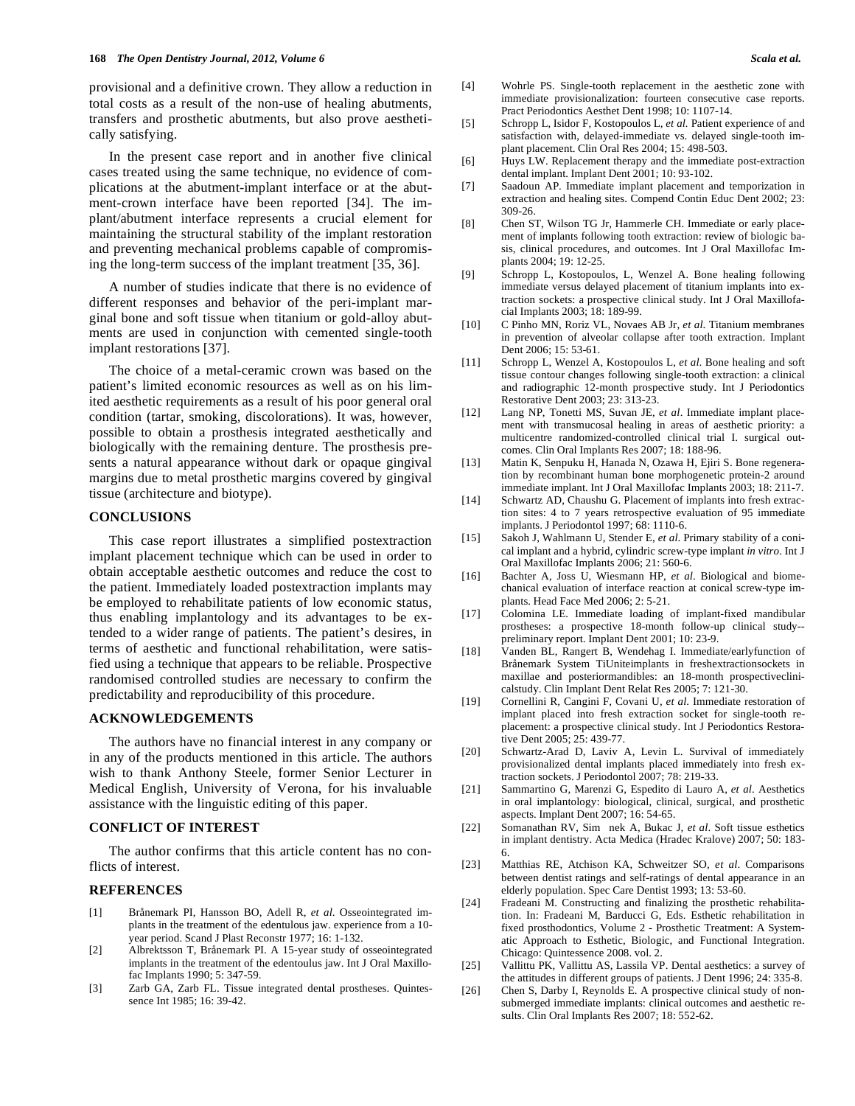provisional and a definitive crown. They allow a reduction in total costs as a result of the non-use of healing abutments, transfers and prosthetic abutments, but also prove aesthetically satisfying.

In the present case report and in another five clinical cases treated using the same technique, no evidence of complications at the abutment-implant interface or at the abutment-crown interface have been reported [34]. The implant/abutment interface represents a crucial element for maintaining the structural stability of the implant restoration and preventing mechanical problems capable of compromising the long-term success of the implant treatment [35, 36].

A number of studies indicate that there is no evidence of different responses and behavior of the peri-implant marginal bone and soft tissue when titanium or gold-alloy abutments are used in conjunction with cemented single-tooth implant restorations [37].

The choice of a metal-ceramic crown was based on the patient's limited economic resources as well as on his limited aesthetic requirements as a result of his poor general oral condition (tartar, smoking, discolorations). It was, however, possible to obtain a prosthesis integrated aesthetically and biologically with the remaining denture. The prosthesis presents a natural appearance without dark or opaque gingival margins due to metal prosthetic margins covered by gingival tissue (architecture and biotype).

#### **CONCLUSIONS**

This case report illustrates a simplified postextraction implant placement technique which can be used in order to obtain acceptable aesthetic outcomes and reduce the cost to the patient. Immediately loaded postextraction implants may be employed to rehabilitate patients of low economic status, thus enabling implantology and its advantages to be extended to a wider range of patients. The patient's desires, in terms of aesthetic and functional rehabilitation, were satisfied using a technique that appears to be reliable. Prospective randomised controlled studies are necessary to confirm the predictability and reproducibility of this procedure.

#### **ACKNOWLEDGEMENTS**

The authors have no financial interest in any company or in any of the products mentioned in this article. The authors wish to thank Anthony Steele, former Senior Lecturer in Medical English, University of Verona, for his invaluable assistance with the linguistic editing of this paper.

## **CONFLICT OF INTEREST**

The author confirms that this article content has no conflicts of interest.

### **REFERENCES**

- [1] Brånemark PI, Hansson BO, Adell R, *et al*. Osseointegrated implants in the treatment of the edentulous jaw. experience from a 10 year period. Scand J Plast Reconstr 1977; 16: 1-132.
- [2] Albrektsson T, Brånemark PI. A 15-year study of osseointegrated implants in the treatment of the edentoulus jaw. Int J Oral Maxillofac Implants 1990; 5: 347-59.
- [3] Zarb GA, Zarb FL. Tissue integrated dental prostheses. Quintessence Int 1985; 16: 39-42.
- [4] Wohrle PS. Single-tooth replacement in the aesthetic zone with immediate provisionalization: fourteen consecutive case reports. Pract Periodontics Aesthet Dent 1998; 10: 1107-14.
- [5] Schropp L, Isidor F, Kostopoulos L, *et al.* Patient experience of and satisfaction with, delayed-immediate vs. delayed single-tooth implant placement. Clin Oral Res 2004; 15: 498-503.
- [6] Huys LW. Replacement therapy and the immediate post-extraction dental implant. Implant Dent 2001; 10: 93-102.
- [7] Saadoun AP. Immediate implant placement and temporization in extraction and healing sites. Compend Contin Educ Dent 2002; 23: 309-26.
- [8] Chen ST, Wilson TG Jr, Hammerle CH. Immediate or early placement of implants following tooth extraction: review of biologic basis, clinical procedures, and outcomes. Int J Oral Maxillofac Implants 2004; 19: 12-25.
- [9] Schropp L, Kostopoulos, L, Wenzel A. Bone healing following immediate versus delayed placement of titanium implants into extraction sockets: a prospective clinical study. Int J Oral Maxillofacial Implants 2003; 18: 189-99.
- [10] C Pinho MN, Roriz VL, Novaes AB Jr, *et al*. Titanium membranes in prevention of alveolar collapse after tooth extraction. Implant Dent 2006; 15: 53-61.
- [11] Schropp L, Wenzel A, Kostopoulos L, *et al*. Bone healing and soft tissue contour changes following single-tooth extraction: a clinical and radiographic 12-month prospective study. Int J Periodontics Restorative Dent 2003; 23: 313-23.
- [12] Lang NP, Tonetti MS, Suvan JE, *et al*. Immediate implant placement with transmucosal healing in areas of aesthetic priority: a multicentre randomized-controlled clinical trial I. surgical outcomes. Clin Oral Implants Res 2007; 18: 188-96.
- [13] Matin K, Senpuku H, Hanada N, Ozawa H, Ejiri S. Bone regeneration by recombinant human bone morphogenetic protein-2 around immediate implant. Int J Oral Maxillofac Implants 2003; 18: 211-7.
- [14] Schwartz AD, Chaushu G. Placement of implants into fresh extraction sites: 4 to 7 years retrospective evaluation of 95 immediate implants. J Periodontol 1997; 68: 1110-6.
- [15] Sakoh J, Wahlmann U, Stender E, *et al*. Primary stability of a conical implant and a hybrid, cylindric screw-type implant *in vitro*. Int J Oral Maxillofac Implants 2006; 21: 560-6.
- [16] Bachter A, Joss U, Wiesmann HP, *et al*. Biological and biomechanical evaluation of interface reaction at conical screw-type implants. Head Face Med 2006; 2: 5-21.
- [17] Colomina LE. Immediate loading of implant-fixed mandibular prostheses: a prospective 18-month follow-up clinical study- preliminary report. Implant Dent 2001; 10: 23-9.
- [18] Vanden BL, Rangert B, Wendehag I. Immediate/earlyfunction of Brånemark System TiUniteimplants in freshextractionsockets in maxillae and posteriormandibles: an 18-month prospectiveclinicalstudy. Clin Implant Dent Relat Res 2005; 7: 121-30.
- [19] Cornellini R, Cangini F, Covani U, *et al*. Immediate restoration of implant placed into fresh extraction socket for single-tooth replacement: a prospective clinical study. Int J Periodontics Restorative Dent 2005; 25: 439-77.
- [20] Schwartz-Arad D, Laviv A, Levin L. Survival of immediately provisionalized dental implants placed immediately into fresh extraction sockets. J Periodontol 2007; 78: 219-33.
- [21] Sammartino G, Marenzi G, Espedito di Lauro A, *et al*. Aesthetics in oral implantology: biological, clinical, surgical, and prosthetic aspects. Implant Dent 2007; 16: 54-65.
- [22] Somanathan RV, Sim nek A, Bukac J, *et al*. Soft tissue esthetics in implant dentistry. Acta Medica (Hradec Kralove) 2007; 50: 183- 6.
- [23] Matthias RE, Atchison KA, Schweitzer SO, *et al*. Comparisons between dentist ratings and self-ratings of dental appearance in an elderly population. Spec Care Dentist 1993; 13: 53-60.
- [24] Fradeani M. Constructing and finalizing the prosthetic rehabilitation. In: Fradeani M, Barducci G, Eds. Esthetic rehabilitation in fixed prosthodontics, Volume 2 - Prosthetic Treatment: A Systematic Approach to Esthetic, Biologic, and Functional Integration. Chicago: Quintessence 2008. vol. 2.
- [25] Vallittu PK, Vallittu AS, Lassila VP. Dental aesthetics: a survey of the attitudes in different groups of patients. J Dent 1996; 24: 335-8.
- [26] Chen S, Darby I, Reynolds E. A prospective clinical study of nonsubmerged immediate implants: clinical outcomes and aesthetic results. Clin Oral Implants Res 2007; 18: 552-62.